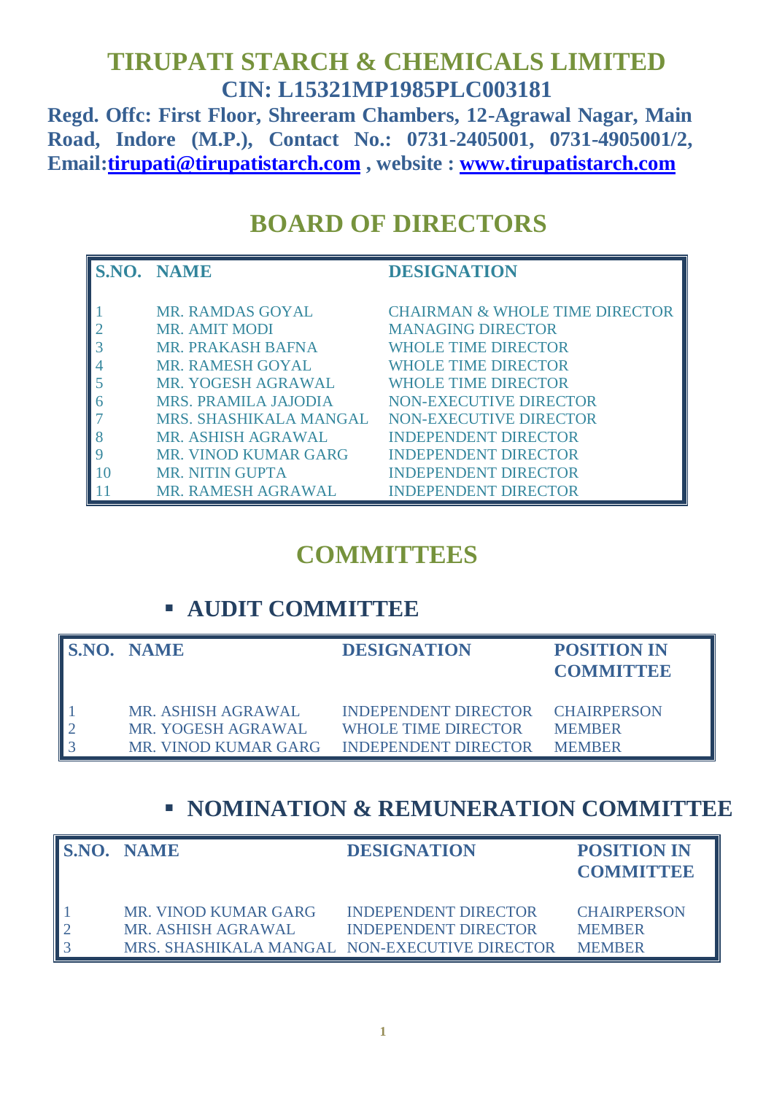## **TIRUPATI STARCH & CHEMICALS LIMITED CIN: L15321MP1985PLC003181**

**Regd. Offc: First Floor, Shreeram Chambers, 12-Agrawal Nagar, Main Road, Indore (M.P.), Contact No.: 0731-2405001, 0731-4905001/2, Email[:tirupati@tirupatistarch.com](mailto:tirupati@tirupatistarch.com) , website : [www.tirupatistarch.com](http://www.tirupatistarch.com/)**

# **BOARD OF DIRECTORS**

| S.NO. NAME                  | <b>DESIGNATION</b>                        |
|-----------------------------|-------------------------------------------|
|                             |                                           |
| <b>MR. RAMDAS GOYAL</b>     | <b>CHAIRMAN &amp; WHOLE TIME DIRECTOR</b> |
| <b>MR. AMIT MODI</b>        | <b>MANAGING DIRECTOR</b>                  |
| <b>MR. PRAKASH BAFNA</b>    | <b>WHOLE TIME DIRECTOR</b>                |
| <b>MR. RAMESH GOYAL</b>     | <b>WHOLE TIME DIRECTOR</b>                |
| MR. YOGESH AGRAWAL          | <b>WHOLE TIME DIRECTOR</b>                |
| <b>MRS. PRAMILA JAJODIA</b> | <b>NON-EXECUTIVE DIRECTOR</b>             |
| MRS. SHASHIKALA MANGAL      | NON-EXECUTIVE DIRECTOR                    |
| MR. ASHISH AGRAWAL          | <b>INDEPENDENT DIRECTOR</b>               |
| <b>MR. VINOD KUMAR GARG</b> | <b>INDEPENDENT DIRECTOR</b>               |
| <b>MR. NITIN GUPTA</b>      | <b>INDEPENDENT DIRECTOR</b>               |
| MR. RAMESH AGRAWAL          | <b>INDEPENDENT DIRECTOR</b>               |

## **COMMITTEES**

### **AUDIT COMMITTEE**

| <b>S.NO. NAME</b>    | <b>DESIGNATION</b>               | <b>POSITION IN</b><br><b>COMMITTEE</b> |
|----------------------|----------------------------------|----------------------------------------|
| MR. ASHISH AGRAWAL   | INDEPENDENT DIRECTOR CHAIRPERSON |                                        |
| MR. YOGESH AGRAWAL   | <b>WHOLE TIME DIRECTOR</b>       | <b>MEMBER</b>                          |
| MR. VINOD KUMAR GARG | <b>INDEPENDENT DIRECTOR</b>      | <b>MEMBER</b>                          |

## **E NOMINATION & REMUNERATION COMMITTEE**

| <b>S.NO. NAME</b>                                                                           | <b>DESIGNATION</b>                                         | <b>POSITION IN</b><br><b>COMMITTEE</b>               |
|---------------------------------------------------------------------------------------------|------------------------------------------------------------|------------------------------------------------------|
| MR. VINOD KUMAR GARG<br>MR. ASHISH AGRAWAL<br>MRS. SHASHIKALA MANGAL NON-EXECUTIVE DIRECTOR | <b>INDEPENDENT DIRECTOR</b><br><b>INDEPENDENT DIRECTOR</b> | <b>CHAIRPERSON</b><br><b>MEMBER</b><br><b>MEMBER</b> |